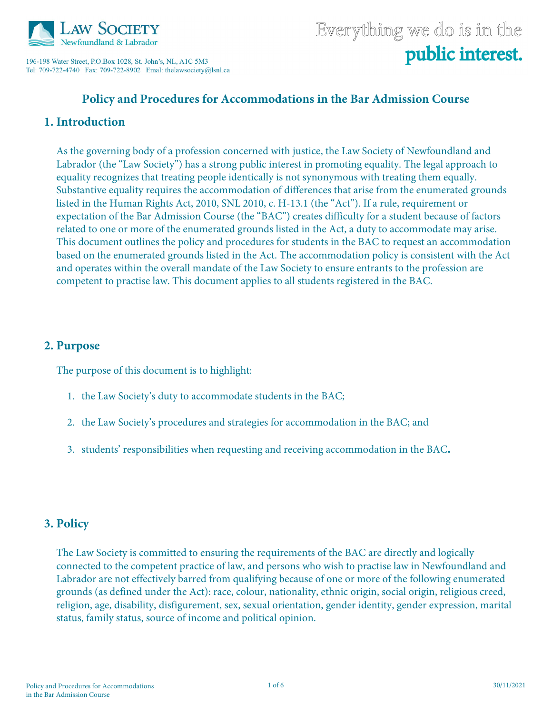

196-198 Water Street, P.O.Box 1028, St. John's, NL, A1C 5M3 

# Everything we do is in the public interest.

## **Policy and Procedures for Accommodations in the Bar Admission Course**

#### **1. Introduction**

As the governing body of a profession concerned with justice, the Law Society of Newfoundland and Labrador (the "Law Society") has a strong public interest in promoting equality. The legal approach to equality recognizes that treating people identically is not synonymous with treating them equally. Substantive equality requires the accommodation of differences that arise from the enumerated grounds listed in the Human Rights Act, 2010, SNL 2010, c. H-13.1 (the "Act"). If a rule, requirement or expectation of the Bar Admission Course (the "BAC") creates difficulty for a student because of factors related to one or more of the enumerated grounds listed in the Act, a duty to accommodate may arise. This document outlines the policy and procedures for students in the BAC to request an accommodation based on the enumerated grounds listed in the Act. The accommodation policy is consistent with the Act and operates within the overall mandate of the Law Society to ensure entrants to the profession are competent to practise law. This document applies to all students registered in the BAC.

### **2. Purpose**

The purpose of this document is to highlight:

- 1. the Law Society's duty to accommodate students in the BAC;
- 2. the Law Society's procedures and strategies for accommodation in the BAC; and
- 3. students' responsibilities when requesting and receiving accommodation in the BAC**.**

#### **3. Policy**

The Law Society is committed to ensuring the requirements of the BAC are directly and logically connected to the competent practice of law, and persons who wish to practise law in Newfoundland and Labrador are not effectively barred from qualifying because of one or more of the following enumerated grounds (as defined under the Act): race, colour, nationality, ethnic origin, social origin, religious creed, religion, age, disability, disfigurement, sex, sexual orientation, gender identity, gender expression, marital status, family status, source of income and political opinion.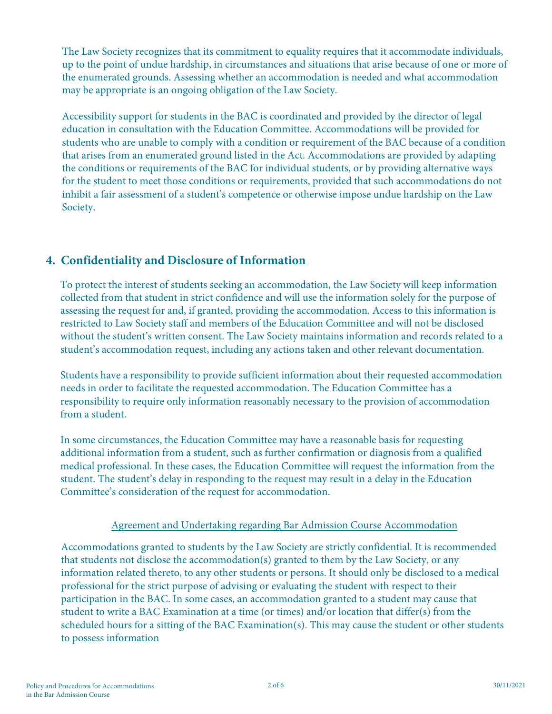The Law Society recognizes that its commitment to equality requires that it accommodate individuals, up to the point of undue hardship, in circumstances and situations that arise because of one or more of the enumerated grounds. Assessing whether an accommodation is needed and what accommodation may be appropriate is an ongoing obligation of the Law Society.

Accessibility support for students in the BAC is coordinated and provided by the director of legal education in consultation with the Education Committee. Accommodations will be provided for students who are unable to comply with a condition or requirement of the BAC because of a condition that arises from an enumerated ground listed in the Act. Accommodations are provided by adapting the conditions or requirements of the BAC for individual students, or by providing alternative ways for the student to meet those conditions or requirements, provided that such accommodations do not inhibit a fair assessment of a student's competence or otherwise impose undue hardship on the Law Society.

# **4. Confidentiality and Disclosure of Information**

To protect the interest of students seeking an accommodation, the Law Society will keep information collected from that student in strict confidence and will use the information solely for the purpose of assessing the request for and, if granted, providing the accommodation. Access to this information is restricted to Law Society staff and members of the Education Committee and will not be disclosed without the student's written consent. The Law Society maintains information and records related to a student's accommodation request, including any actions taken and other relevant documentation.

Students have a responsibility to provide sufficient information about their requested accommodation needs in order to facilitate the requested accommodation. The Education Committee has a responsibility to require only information reasonably necessary to the provision of accommodation from a student.

In some circumstances, the Education Committee may have a reasonable basis for requesting additional information from a student, such as further confirmation or diagnosis from a qualified medical professional. In these cases, the Education Committee will request the information from the student. The student's delay in responding to the request may result in a delay in the Education Committee's consideration of the request for accommodation.

#### Agreement and Undertaking regarding Bar Admission Course Accommodation

Accommodations granted to students by the Law Society are strictly confidential. It is recommended that students not disclose the accommodation(s) granted to them by the Law Society, or any information related thereto, to any other students or persons. It should only be disclosed to a medical professional for the strict purpose of advising or evaluating the student with respect to their participation in the BAC. In some cases, an accommodation granted to a student may cause that student to write a BAC Examination at a time (or times) and/or location that differ(s) from the scheduled hours for a sitting of the BAC Examination(s). This may cause the student or other students to possess information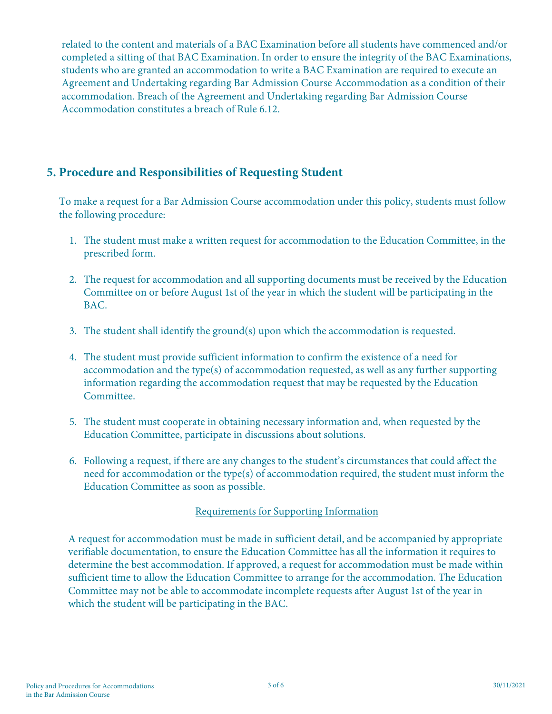related to the content and materials of a BAC Examination before all students have commenced and/or completed a sitting of that BAC Examination. In order to ensure the integrity of the BAC Examinations, students who are granted an accommodation to write a BAC Examination are required to execute an Agreement and Undertaking regarding Bar Admission Course Accommodation as a condition of their accommodation. Breach of the Agreement and Undertaking regarding Bar Admission Course Accommodation constitutes a breach of Rule 6.12.

# **5. Procedure and Responsibilities of Requesting Student**

To make a request for a Bar Admission Course accommodation under this policy, students must follow the following procedure:

- 1. The student must make a written request for accommodation to the Education Committee, in the prescribed form.
- 2. The request for accommodation and all supporting documents must be received by the Education Committee on or before August 1st of the year in which the student will be participating in the BAC.
- 3. The student shall identify the ground(s) upon which the accommodation is requested.
- 4. The student must provide sufficient information to confirm the existence of a need for accommodation and the type(s) of accommodation requested, as well as any further supporting information regarding the accommodation request that may be requested by the Education Committee.
- 5. The student must cooperate in obtaining necessary information and, when requested by the Education Committee, participate in discussions about solutions.
- 6. Following a request, if there are any changes to the student's circumstances that could affect the need for accommodation or the type(s) of accommodation required, the student must inform the Education Committee as soon as possible.

#### Requirements for Supporting Information

A request for accommodation must be made in sufficient detail, and be accompanied by appropriate verifiable documentation, to ensure the Education Committee has all the information it requires to determine the best accommodation. If approved, a request for accommodation must be made within sufficient time to allow the Education Committee to arrange for the accommodation. The Education Committee may not be able to accommodate incomplete requests after August 1st of the year in which the student will be participating in the BAC.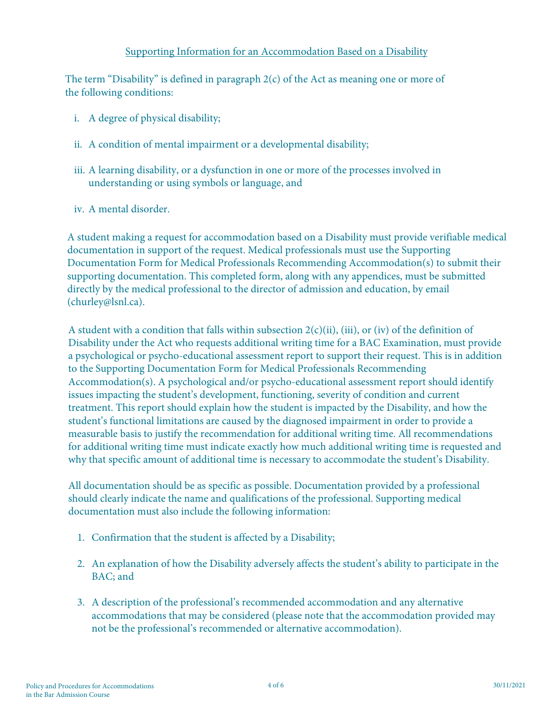The term "Disability" is defined in paragraph 2(c) of the Act as meaning one or more of the following conditions:

- i. A degree of physical disability;
- ii. A condition of mental impairment or a developmental disability;
- iii. A learning disability, or a dysfunction in one or more of the processes involved in understanding or using symbols or language, and
- iv. A mental disorder.

A student making a request for accommodation based on a Disability must provide verifiable medical documentation in support of the request. Medical professionals must use the Supporting Documentation Form for Medical Professionals Recommending Accommodation(s) to submit their supporting documentation. This completed form, along with any appendices, must be submitted directly by the medical professional to the director of admission and education, by email (churley@lsnl.ca).

A student with a condition that falls within subsection  $2(c)(ii)$ , (iii), or (iv) of the definition of Disability under the Act who requests additional writing time for a BAC Examination, must provide a psychological or psycho-educational assessment report to support their request. This is in addition to the Supporting Documentation Form for Medical Professionals Recommending Accommodation(s). A psychological and/or psycho-educational assessment report should identify issues impacting the student's development, functioning, severity of condition and current treatment. This report should explain how the student is impacted by the Disability, and how the student's functional limitations are caused by the diagnosed impairment in order to provide a measurable basis to justify the recommendation for additional writing time. All recommendations for additional writing time must indicate exactly how much additional writing time is requested and why that specific amount of additional time is necessary to accommodate the student's Disability.

All documentation should be as specific as possible. Documentation provided by a professional should clearly indicate the name and qualifications of the professional. Supporting medical documentation must also include the following information:

- 1. Confirmation that the student is affected by a Disability;
- 2. An explanation of how the Disability adversely affects the student's ability to participate in the BAC; and
- 3. A description of the professional's recommended accommodation and any alternative accommodations that may be considered (please note that the accommodation provided may not be the professional's recommended or alternative accommodation).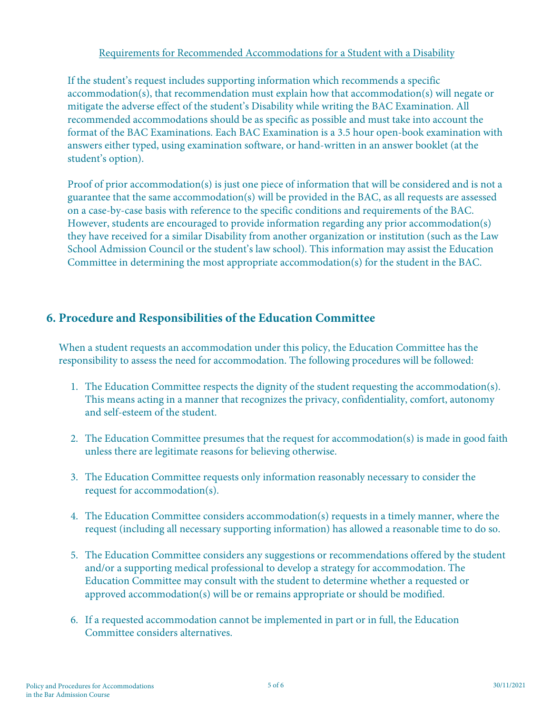#### Requirements for Recommended Accommodations for a Student with a Disability

If the student's request includes supporting information which recommends a specific accommodation(s), that recommendation must explain how that accommodation(s) will negate or mitigate the adverse effect of the student's Disability while writing the BAC Examination. All recommended accommodations should be as specific as possible and must take into account the format of the BAC Examinations. Each BAC Examination is a 3.5 hour open-book examination with answers either typed, using examination software, or hand-written in an answer booklet (at the student's option).

Proof of prior accommodation(s) is just one piece of information that will be considered and is not a guarantee that the same accommodation(s) will be provided in the BAC, as all requests are assessed on a case-by-case basis with reference to the specific conditions and requirements of the BAC. However, students are encouraged to provide information regarding any prior accommodation(s) they have received for a similar Disability from another organization or institution (such as the Law School Admission Council or the student's law school). This information may assist the Education Committee in determining the most appropriate accommodation(s) for the student in the BAC.

# **6. Procedure and Responsibilities of the Education Committee**

When a student requests an accommodation under this policy, the Education Committee has the responsibility to assess the need for accommodation. The following procedures will be followed:

- 1. The Education Committee respects the dignity of the student requesting the accommodation(s). This means acting in a manner that recognizes the privacy, confidentiality, comfort, autonomy and self-esteem of the student.
- 2. The Education Committee presumes that the request for accommodation(s) is made in good faith unless there are legitimate reasons for believing otherwise.
- 3. The Education Committee requests only information reasonably necessary to consider the request for accommodation(s).
- 4. The Education Committee considers accommodation(s) requests in a timely manner, where the request (including all necessary supporting information) has allowed a reasonable time to do so.
- 5. The Education Committee considers any suggestions or recommendations offered by the student and/or a supporting medical professional to develop a strategy for accommodation. The Education Committee may consult with the student to determine whether a requested or approved accommodation(s) will be or remains appropriate or should be modified.
- 6. If a requested accommodation cannot be implemented in part or in full, the Education Committee considers alternatives.